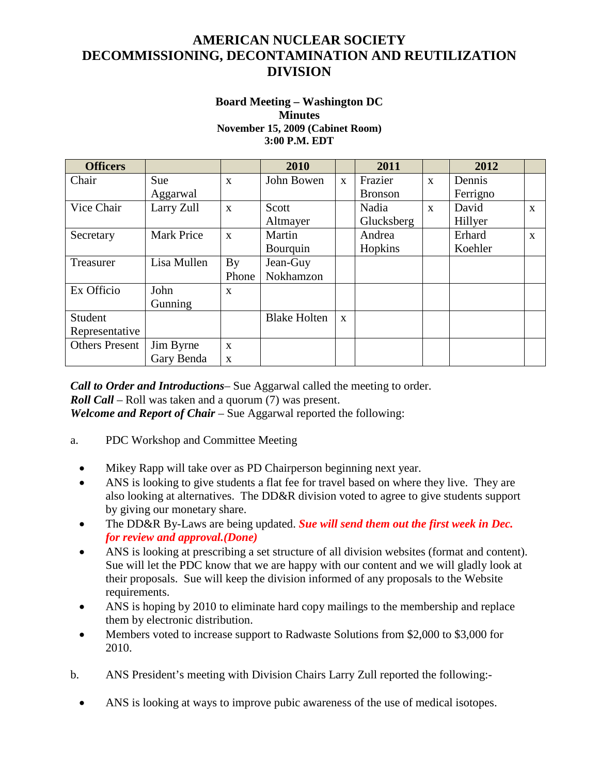# **AMERICAN NUCLEAR SOCIETY DECOMMISSIONING, DECONTAMINATION AND REUTILIZATION DIVISION**

#### **Board Meeting – Washington DC Minutes November 15, 2009 (Cabinet Room) 3:00 P.M. EDT**

| <b>Officers</b>       |                   |              | 2010                |              | 2011           |              | 2012     |              |
|-----------------------|-------------------|--------------|---------------------|--------------|----------------|--------------|----------|--------------|
| Chair                 | Sue               | $\mathbf{X}$ | John Bowen          | $\mathbf{x}$ | Frazier        | $\mathbf{X}$ | Dennis   |              |
|                       | Aggarwal          |              |                     |              | <b>Bronson</b> |              | Ferrigno |              |
| Vice Chair            | Larry Zull        | $\mathbf{x}$ | Scott               |              | Nadia          | $\mathbf{x}$ | David    | $\mathbf{x}$ |
|                       |                   |              | Altmayer            |              | Glucksberg     |              | Hillyer  |              |
| Secretary             | <b>Mark Price</b> | $\mathbf{x}$ | Martin              |              | Andrea         |              | Erhard   | $\mathbf{x}$ |
|                       |                   |              | Bourquin            |              | Hopkins        |              | Koehler  |              |
| Treasurer             | Lisa Mullen       | By           | Jean-Guy            |              |                |              |          |              |
|                       |                   | Phone        | Nokhamzon           |              |                |              |          |              |
| Ex Officio            | John              | $\mathbf{X}$ |                     |              |                |              |          |              |
|                       | Gunning           |              |                     |              |                |              |          |              |
| Student               |                   |              | <b>Blake Holten</b> | $\mathbf{X}$ |                |              |          |              |
| Representative        |                   |              |                     |              |                |              |          |              |
| <b>Others Present</b> | Jim Byrne         | $\mathbf{x}$ |                     |              |                |              |          |              |
|                       | Gary Benda        | $\mathbf{x}$ |                     |              |                |              |          |              |

*Call to Order and Introductions*– Sue Aggarwal called the meeting to order. *Roll Call* – Roll was taken and a quorum (7) was present. *Welcome and Report of Chair* – Sue Aggarwal reported the following:

- a. PDC Workshop and Committee Meeting
	- Mikey Rapp will take over as PD Chairperson beginning next year.
	- ANS is looking to give students a flat fee for travel based on where they live. They are also looking at alternatives. The DD&R division voted to agree to give students support by giving our monetary share.
	- The DD&R By-Laws are being updated. **Sue will send them out the first week in Dec.** *for review and approval.(Done)*
	- ANS is looking at prescribing a set structure of all division websites (format and content). Sue will let the PDC know that we are happy with our content and we will gladly look at their proposals. Sue will keep the division informed of any proposals to the Website requirements.
	- ANS is hoping by 2010 to eliminate hard copy mailings to the membership and replace them by electronic distribution.
	- Members voted to increase support to Radwaste Solutions from \$2,000 to \$3,000 for 2010.
- b. ANS President's meeting with Division Chairs Larry Zull reported the following:-
	- ANS is looking at ways to improve pubic awareness of the use of medical isotopes.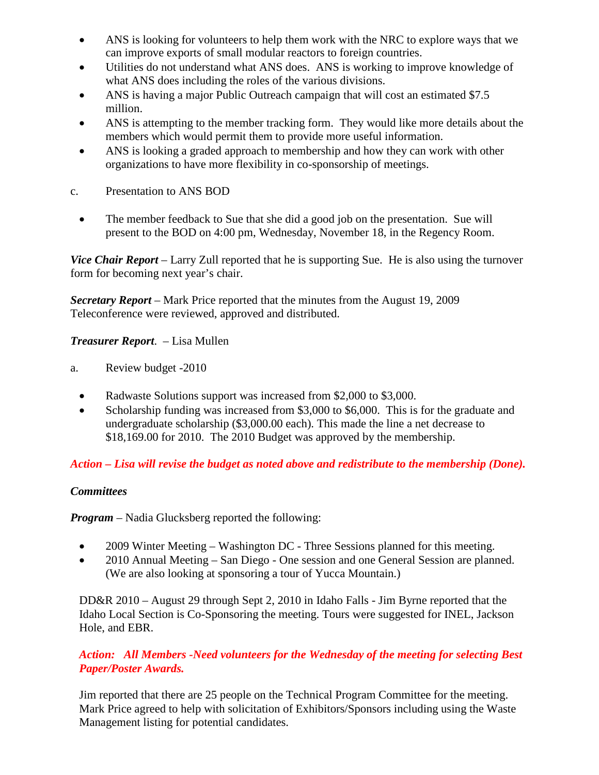- ANS is looking for volunteers to help them work with the NRC to explore ways that we can improve exports of small modular reactors to foreign countries.
- Utilities do not understand what ANS does. ANS is working to improve knowledge of what ANS does including the roles of the various divisions.
- ANS is having a major Public Outreach campaign that will cost an estimated \$7.5 million.
- ANS is attempting to the member tracking form. They would like more details about the members which would permit them to provide more useful information.
- ANS is looking a graded approach to membership and how they can work with other organizations to have more flexibility in co-sponsorship of meetings.
- c. Presentation to ANS BOD
	- The member feedback to Sue that she did a good job on the presentation. Sue will present to the BOD on 4:00 pm, Wednesday, November 18, in the Regency Room.

*Vice Chair Report* – Larry Zull reported that he is supporting Sue. He is also using the turnover form for becoming next year's chair.

*Secretary Report* – Mark Price reported that the minutes from the August 19, 2009 Teleconference were reviewed, approved and distributed.

*Treasurer Report*. – Lisa Mullen

- a. Review budget -2010
	- Radwaste Solutions support was increased from \$2,000 to \$3,000.
	- Scholarship funding was increased from \$3,000 to \$6,000. This is for the graduate and undergraduate scholarship (\$3,000.00 each). This made the line a net decrease to \$18,169.00 for 2010. The 2010 Budget was approved by the membership.

*Action – Lisa will revise the budget as noted above and redistribute to the membership (Done).*

# *Committees*

*Program* – Nadia Glucksberg reported the following:

- 2009 Winter Meeting Washington DC Three Sessions planned for this meeting.
- 2010 Annual Meeting San Diego One session and one General Session are planned. (We are also looking at sponsoring a tour of Yucca Mountain.)

DD&R 2010 – August 29 through Sept 2, 2010 in Idaho Falls - Jim Byrne reported that the Idaho Local Section is Co-Sponsoring the meeting. Tours were suggested for INEL, Jackson Hole, and EBR.

# *Action: All Members -Need volunteers for the Wednesday of the meeting for selecting Best Paper/Poster Awards.*

Jim reported that there are 25 people on the Technical Program Committee for the meeting. Mark Price agreed to help with solicitation of Exhibitors/Sponsors including using the Waste Management listing for potential candidates.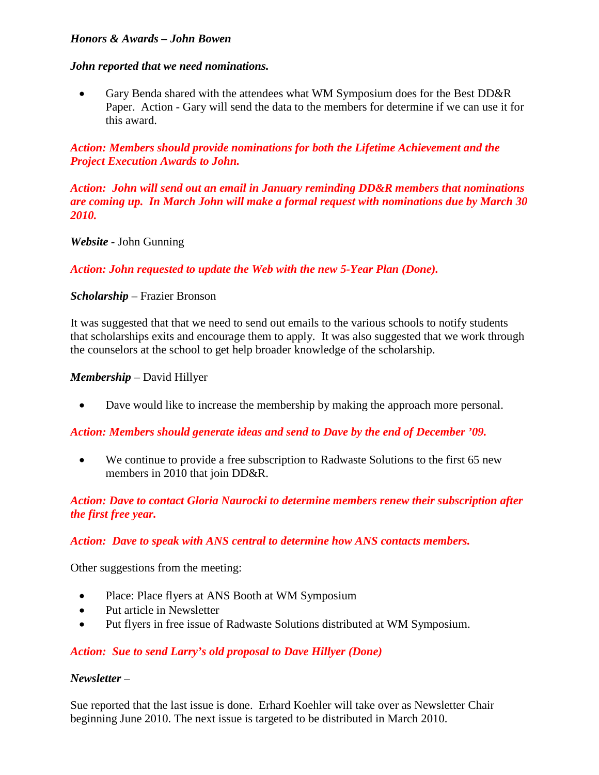### *Honors & Awards – John Bowen*

## *John reported that we need nominations.*

• Gary Benda shared with the attendees what WM Symposium does for the Best DD&R Paper. Action - Gary will send the data to the members for determine if we can use it for this award.

## *Action: Members should provide nominations for both the Lifetime Achievement and the Project Execution Awards to John.*

*Action: John will send out an email in January reminding DD&R members that nominations are coming up. In March John will make a formal request with nominations due by March 30 2010.*

## *Website -* John Gunning

# *Action: John requested to update the Web with the new 5-Year Plan (Done).*

## *Scholarship* – Frazier Bronson

It was suggested that that we need to send out emails to the various schools to notify students that scholarships exits and encourage them to apply. It was also suggested that we work through the counselors at the school to get help broader knowledge of the scholarship.

## *Membership* – David Hillyer

• Dave would like to increase the membership by making the approach more personal.

#### *Action: Members should generate ideas and send to Dave by the end of December '09.*

• We continue to provide a free subscription to Radwaste Solutions to the first 65 new members in 2010 that join DD&R.

# *Action: Dave to contact Gloria Naurocki to determine members renew their subscription after the first free year.*

#### *Action: Dave to speak with ANS central to determine how ANS contacts members.*

Other suggestions from the meeting:

- Place: Place flyers at ANS Booth at WM Symposium
- Put article in Newsletter
- Put flyers in free issue of Radwaste Solutions distributed at WM Symposium.

#### *Action: Sue to send Larry's old proposal to Dave Hillyer (Done)*

#### *Newsletter* –

Sue reported that the last issue is done. Erhard Koehler will take over as Newsletter Chair beginning June 2010. The next issue is targeted to be distributed in March 2010.